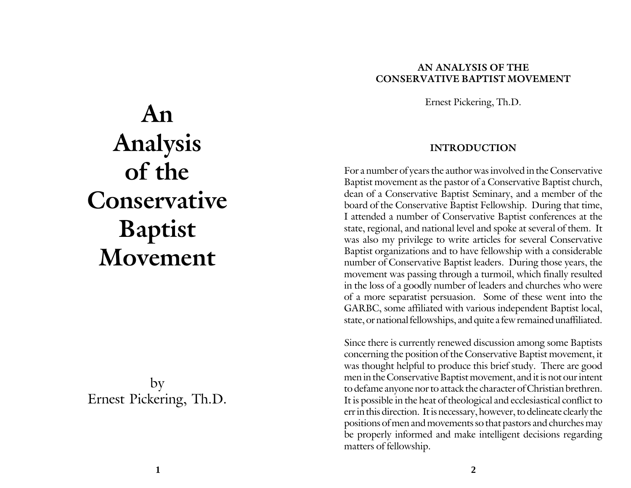### **AN ANALYSIS OF THE CONSERVATIVE BAPTIST MOVEMENT**

Ernest Pickering, Th.D.

#### **INTRODUCTION**

For a number of years the author was involved in the Conservative Baptist movement as the pastor of a Conservative Baptist church, dean of a Conservative Baptist Seminary, and a member of the board of the Conservative Baptist Fellowship. During that time, I attended a number of Conservative Baptist conferences at the state, regional, and national level and spoke at several of them. It was also my privilege to write articles for several Conservative Baptist organizations and to have fellowship with a considerable number of Conservative Baptist leaders. During those years, the movement was passing through a turmoil, which finally resulted in the loss of a goodly number of leaders and churches who were of a more separatist persuasion. Some of these went into the GARBC, some affiliated with various independent Baptist local, state, or national fellowships, and quite a few remained unaffiliated.

Since there is currently renewed discussion among some Baptists concerning the position of the Conservative Baptist movement, it was thought helpful to produce this brief study. There are good men in the Conservative Baptist movement, and it is not our intent to defame anyone nor to attack the character of Christian brethren. It is possible in the heat of theological and ecclesiastical conflict to err in this direction. It is necessary, however, to delineate clearly the positions of men and movements so that pastors and churches may be properly informed and make intelligent decisions regarding matters of fellowship.

**An Analysis of the Conservative Baptist Movement**

by Ernest Pickering, Th.D.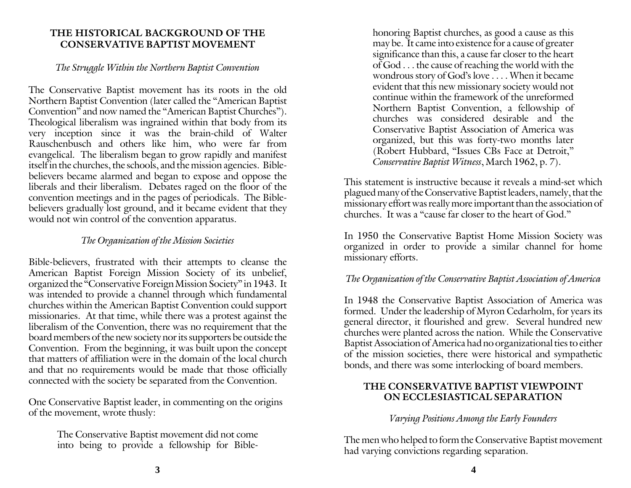#### **THE HISTORICAL BACKGROUND OF THE CONSERVATIVE BAPTIST MOVEMENT**

#### *The Struggle Within the Northern Baptist Convention*

The Conservative Baptist movement has its roots in the old Northern Baptist Convention (later called the "American Baptist Convention" and now named the "American Baptist Churches"). Theological liberalism was ingrained within that body from its very inception since it was the brain-child of Walter Rauschenbusch and others like him, who were far from evangelical. The liberalism began to grow rapidly and manifest itself in the churches, the schools, and the mission agencies. Biblebelievers became alarmed and began to expose and oppose the liberals and their liberalism. Debates raged on the floor of the convention meetings and in the pages of periodicals. The Biblebelievers gradually lost ground, and it became evident that they would not win control of the convention apparatus.

# *The Organization of the Mission Societies*

Bible-believers, frustrated with their attempts to cleanse the American Baptist Foreign Mission Society of its unbelief, organized the "Conservative Foreign Mission Society" in 1943. It was intended to provide a channel through which fundamental churches within the American Baptist Convention could support missionaries. At that time, while there was a protest against the liberalism of the Convention, there was no requirement that the board members of the new society nor its supporters be outside the Convention. From the beginning, it was built upon the concept that matters of affiliation were in the domain of the local church and that no requirements would be made that those officially connected with the society be separated from the Convention.

One Conservative Baptist leader, in commenting on the origins of the movement, wrote thusly:

> The Conservative Baptist movement did not come into being to provide a fellowship for Bible

honoring Baptist churches, as good a cause as this may be. It came into existence for a cause of greater significance than this, a cause far closer to the heart of God . . . the cause of reaching the world with the wondrous story of God's love . . . . When it became evident that this new missionary society would not continue within the framework of the unreformed Northern Baptist Convention, a fellowship of churches was considered desirable and the Conservative Baptist Association of America was organized, but this was forty-two months later (Robert Hubbard, "Issues CBs Face at Detroit," *Conservative Baptist Witness*, March 1962, p. 7).

This statement is instructive because it reveals a mind-set which plagued many of the Conservative Baptist leaders, namely, that the missionary effort was really more important than the association of churches. It was a "cause far closer to the heart of God."

In 1950 the Conservative Baptist Home Mission Society was organized in order to provide a similar channel for home missionary efforts.

## *The Organization of the Conservative Baptist Association of America*

In 1948 the Conservative Baptist Association of America was formed. Under the leadership of Myron Cedarholm, for years its general director, it flourished and grew. Several hundred new churches were planted across the nation. While the Conservative Baptist Association of America had no organizational ties to either of the mission societies, there were historical and sympathetic bonds, and there was some interlocking of board members.

#### **THE CONSERVATIVE BAPTIST VIEWPOINT ON ECCLESIASTICAL SEPARATION**

#### *Varying Positions Among the Early Founders*

The men who helped to form the Conservative Baptist movement had varying convictions regarding separation.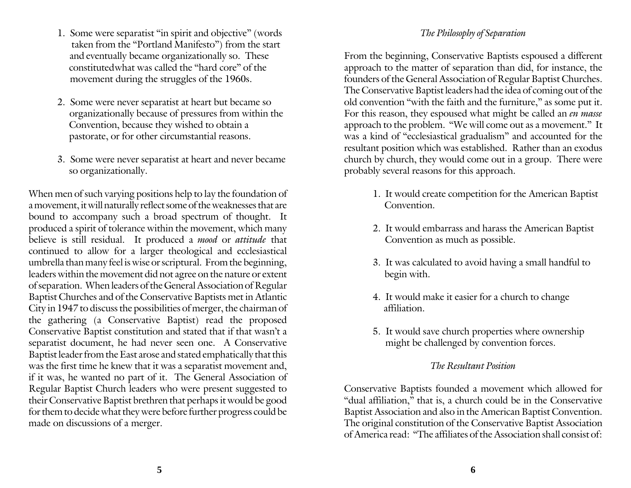- 1. Some were separatist "in spirit and objective" (words taken from the "Portland Manifesto") from the start and eventually became organizationally so. These constitutedwhat was called the "hard core" of the movement during the struggles of the 1960s.
- 2. Some were never separatist at heart but became so organizationally because of pressures from within the Convention, because they wished to obtain a pastorate, or for other circumstantial reasons.
- 3. Some were never separatist at heart and never became so organizationally.

When men of such varying positions help to lay the foundation of a movement, it will naturally reflect some of the weaknesses that are bound to accompany such a broad spectrum of thought. It produced a spirit of tolerance within the movement, which many believe is still residual. It produced a *mood* or *attitude* that continued to allow for a larger theological and ecclesiastical umbrella than many feel is wise or scriptural. From the beginning, leaders within the movement did not agree on the nature or extent of separation. When leaders of the General Association of Regular Baptist Churches and of the Conservative Baptists met in Atlantic City in 1947 to discuss the possibilities of merger, the chairman of the gathering (a Conservative Baptist) read the proposed Conservative Baptist constitution and stated that if that wasn't a separatist document, he had never seen one. A Conservative Baptist leader from the East arose and stated emphatically that this was the first time he knew that it was a separatist movement and, if it was, he wanted no part of it. The General Association of Regular Baptist Church leaders who were present suggested to their Conservative Baptist brethren that perhaps it would be good for them to decide what they were before further progress could be made on discussions of a merger.

#### *The Philosophy of Separation*

From the beginning, Conservative Baptists espoused a different approach to the matter of separation than did, for instance, the founders of the General Association of Regular Baptist Churches. The Conservative Baptist leaders had the idea of coming out of the old convention "with the faith and the furniture," as some put it. For this reason, they espoused what might be called an *en masse* approach to the problem. "We will come out as a movement." It was a kind of "ecclesiastical gradualism" and accounted for the resultant position which was established. Rather than an exodus church by church, they would come out in a group. There were probably several reasons for this approach.

- 1. It would create competition for the American Baptist Convention.
- 2. It would embarrass and harass the American Baptist Convention as much as possible.
- 3. It was calculated to avoid having a small handful to begin with.
- 4. It would make it easier for a church to change affiliation.
- 5. It would save church properties where ownership might be challenged by convention forces.

#### *The Resultant Position*

Conservative Baptists founded a movement which allowed for "dual affiliation," that is, a church could be in the Conservative Baptist Association and also in the American Baptist Convention. The original constitution of the Conservative Baptist Association of America read: "The affiliates of the Association shall consist of: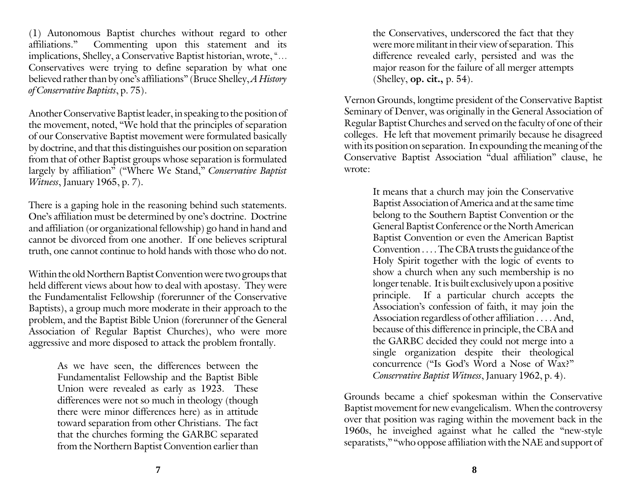(1) Autonomous Baptist churches without regard to other affiliations." Commenting upon this statement and its implications, Shelley, a Conservative Baptist historian, wrote, "... Conservatives were trying to define separation by what one believed rather than by one's affiliations" (Bruce Shelley, *A History of Conservative Baptists*, p. 75).

Another Conservative Baptist leader, in speaking to the position of the movement, noted, "We hold that the principles of separation of our Conservative Baptist movement were formulated basically by doctrine, and that this distinguishes our position on separation from that of other Baptist groups whose separation is formulated largely by affiliation" ("Where We Stand," *Conservative Baptist Witness*, January 1965, p. 7).

There is a gaping hole in the reasoning behind such statements. One's affiliation must be determined by one's doctrine. Doctrine and affiliation (or organizational fellowship) go hand in hand and cannot be divorced from one another. If one believes scriptural truth, one cannot continue to hold hands with those who do not.

Within the old Northern Baptist Convention were two groups that held different views about how to deal with apostasy. They were the Fundamentalist Fellowship (forerunner of the Conservative Baptists), a group much more moderate in their approach to the problem, and the Baptist Bible Union (forerunner of the General Association of Regular Baptist Churches), who were more aggressive and more disposed to attack the problem frontally.

> As we have seen, the differences between the Fundamentalist Fellowship and the Baptist Bible Union were revealed as early as 1923. These differences were not so much in theology (though there were minor differences here) as in attitude toward separation from other Christians. The fact that the churches forming the GARBC separated from the Northern Baptist Convention earlier than

the Conservatives, underscored the fact that they were more militant in their view of separation. This difference revealed early, persisted and was the major reason for the failure of all merger attempts (Shelley, **op. cit.,** p. 54).

Vernon Grounds, longtime president of the Conservative Baptist Seminary of Denver, was originally in the General Association of Regular Baptist Churches and served on the faculty of one of their colleges. He left that movement primarily because he disagreed with its position on separation. In expounding the meaning of the Conservative Baptist Association "dual affiliation" clause, he wrote:

> It means that a church may join the Conservative Baptist Association of America and at the same time belong to the Southern Baptist Convention or the General Baptist Conference or the North American Baptist Convention or even the American Baptist Convention . . . . The CBA trusts the guidance of the Holy Spirit together with the logic of events to show a church when any such membership is no longer tenable. It is built exclusively upon a positive principle. If a particular church accepts the Association's confession of faith, it may join the Association regardless of other affiliation . . . . And, because of this difference in principle, the CBA and the GARBC decided they could not merge into a single organization despite their theological concurrence ("Is God's Word a Nose of Wax?" *Conservative Baptist Witness*, January 1962, p. 4).

Grounds became a chief spokesman within the Conservative Baptist movement for new evangelicalism. When the controversy over that position was raging within the movement back in the 1960s, he inveighed against what he called the "new-style separatists," "who oppose affiliation with the NAE and support of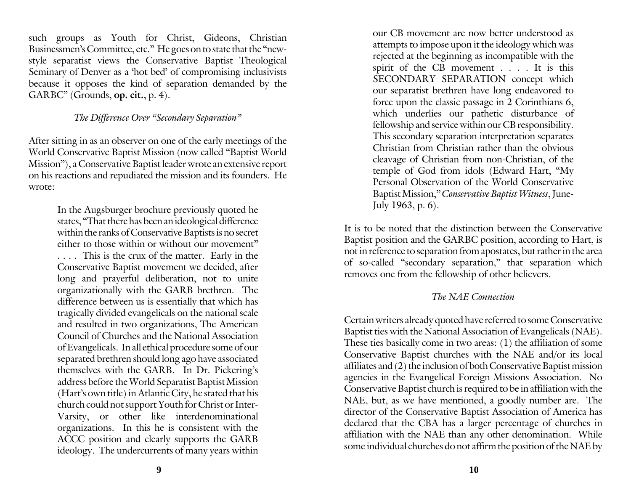such groups as Youth for Christ, Gideons, Christian Businessmen's Committee, etc." He goes on to state that the "newstyle separatist views the Conservative Baptist Theological Seminary of Denver as a 'hot bed' of compromising inclusivists because it opposes the kind of separation demanded by the GARBC" (Grounds, **op. cit.**, p. 4).

### *The Difference Over "Secondary Separation"*

After sitting in as an observer on one of the early meetings of the World Conservative Baptist Mission (now called "Baptist World Mission"), a Conservative Baptist leader wrote an extensive report on his reactions and repudiated the mission and its founders. He wrote:

> In the Augsburger brochure previously quoted he states, "That there has been an ideological difference within the ranks of Conservative Baptists is no secret either to those within or without our movement" . . . . This is the crux of the matter. Early in the Conservative Baptist movement we decided, after long and prayerful deliberation, not to unite organizationally with the GARB brethren. The difference between us is essentially that which has tragically divided evangelicals on the national scale and resulted in two organizations, The American Council of Churches and the National Association of Evangelicals. In all ethical procedure some of our separated brethren should long ago have associated themselves with the GARB. In Dr. Pickering's address before the World Separatist Baptist Mission (Hart's own title) in Atlantic City, he stated that his church could not support Youth for Christ or Inter-Varsity, or other like interdenominational organizations. In this he is consistent with the ACCC position and clearly supports the GARB ideology. The undercurrents of many years within

our CB movement are now better understood as attempts to impose upon it the ideology which was rejected at the beginning as incompatible with the spirit of the CB movement . . . . It is this SECONDARY SEPARATION concept which our separatist brethren have long endeavored to force upon the classic passage in 2 Corinthians 6, which underlies our pathetic disturbance of fellowship and service within our CB responsibility. This secondary separation interpretation separates Christian from Christian rather than the obvious cleavage of Christian from non-Christian, of the temple of God from idols (Edward Hart, "My Personal Observation of the World Conservative Baptist Mission," *Conservative Baptist Witness*, June-July 1963, p. 6).

It is to be noted that the distinction between the Conservative Baptist position and the GARBC position, according to Hart, is not in reference to separation from apostates, but rather in the area of so-called "secondary separation," that separation which removes one from the fellowship of other believers.

## *The NAE Connection*

Certain writers already quoted have referred to some Conservative Baptist ties with the National Association of Evangelicals (NAE). These ties basically come in two areas: (1) the affiliation of some Conservative Baptist churches with the NAE and/or its local affiliates and (2) the inclusion of both Conservative Baptist mission agencies in the Evangelical Foreign Missions Association. No Conservative Baptist church is required to be in affiliation with the NAE, but, as we have mentioned, a goodly number are. The director of the Conservative Baptist Association of America has declared that the CBA has a larger percentage of churches in affiliation with the NAE than any other denomination. While some individual churches do not affirm the position of the NAE by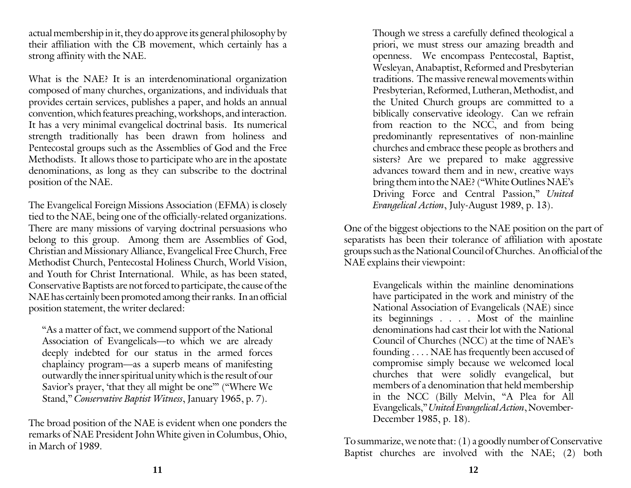actual membership in it, they do approve its general philosophy by their affiliation with the CB movement, which certainly has a strong affinity with the NAE.

What is the NAE? It is an interdenominational organization composed of many churches, organizations, and individuals that provides certain services, publishes a paper, and holds an annual convention, which features preaching, workshops, and interaction. It has a very minimal evangelical doctrinal basis. Its numerical strength traditionally has been drawn from holiness and Pentecostal groups such as the Assemblies of God and the Free Methodists. It allows those to participate who are in the apostate denominations, as long as they can subscribe to the doctrinal position of the NAE.

The Evangelical Foreign Missions Association (EFMA) is closely tied to the NAE, being one of the officially-related organizations. There are many missions of varying doctrinal persuasions who belong to this group. Among them are Assemblies of God, Christian and Missionary Alliance, Evangelical Free Church, Free Methodist Church, Pentecostal Holiness Church, World Vision, and Youth for Christ International. While, as has been stated, Conservative Baptists are not forced to participate, the cause of the NAE has certainly been promoted among their ranks. In an official position statement, the writer declared:

"As a matter of fact, we commend support of the National Association of Evangelicals—to which we are already deeply indebted for our status in the armed forces chaplaincy program—as a superb means of manifesting outwardly the inner spiritual unity which is the result of our Savior's prayer, 'that they all might be one"" ("Where We Stand," *Conservative Baptist Witness*, January 1965, p. 7).

The broad position of the NAE is evident when one ponders the remarks of NAE President John White given in Columbus, Ohio, in March of 1989.

Though we stress a carefully defined theological a priori, we must stress our amazing breadth and openness. We encompass Pentecostal, Baptist, Wesleyan, Anabaptist, Reformed and Presbyterian traditions. The massive renewal movements within Presbyterian, Reformed, Lutheran, Methodist, and the United Church groups are committed to a biblically conservative ideology. Can we refrain from reaction to the NCC, and from being predominantly representatives of non-mainline churches and embrace these people as brothers and sisters? Are we prepared to make aggressive advances toward them and in new, creative ways bring them into the NAE? ("White Outlines NAE's Driving Force and Central Passion," *United Evangelical Action*, July-August 1989, p. 13).

One of the biggest objections to the NAE position on the part of separatists has been their tolerance of affiliation with apostate groups such as the National Council of Churches. An official of the NAE explains their viewpoint:

> Evangelicals within the mainline denominations have participated in the work and ministry of the National Association of Evangelicals (NAE) since its beginnings . . . . Most of the mainline denominations had cast their lot with the National Council of Churches (NCC) at the time of NAE's founding . . . . NAE has frequently been accused of compromise simply because we welcomed local churches that were solidly evangelical, but members of a denomination that held membership in the NCC (Billy Melvin, "A Plea for All Evangelicals," *United Evangelical Action*, November-December 1985, p. 18).

To summarize, we note that: (1) a goodly number of Conservative Baptist churches are involved with the NAE; (2) both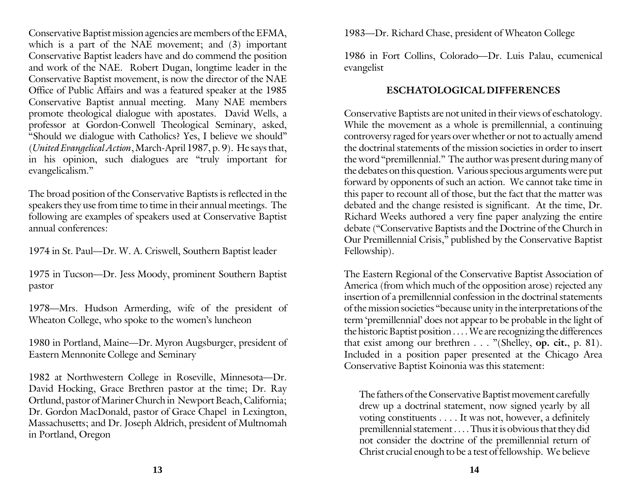Conservative Baptist mission agencies are members of the EFMA, which is a part of the NAE movement; and (3) important Conservative Baptist leaders have and do commend the position and work of the NAE. Robert Dugan, longtime leader in the Conservative Baptist movement, is now the director of the NAE Office of Public Affairs and was a featured speaker at the 1985 Conservative Baptist annual meeting. Many NAE members promote theological dialogue with apostates. David Wells, a professor at Gordon-Conwell Theological Seminary, asked, "Should we dialogue with Catholics? Yes, I believe we should" (*United Evangelical Action*, March-April 1987, p. 9). He says that, in his opinion, such dialogues are "truly important for evangelicalism."

The broad position of the Conservative Baptists is reflected in the speakers they use from time to time in their annual meetings. The following are examples of speakers used at Conservative Baptist annual conferences:

1974 in St. Paul—Dr. W. A. Criswell, Southern Baptist leader

1975 in Tucson—Dr. Jess Moody, prominent Southern Baptist pastor

1978—Mrs. Hudson Armerding, wife of the president of Wheaton College, who spoke to the women's luncheon

1980 in Portland, Maine—Dr. Myron Augsburger, president of Eastern Mennonite College and Seminary

1982 at Northwestern College in Roseville, Minnesota—Dr. David Hocking, Grace Brethren pastor at the time; Dr. Ray Ortlund, pastor of Mariner Church in Newport Beach, California; Dr. Gordon MacDonald, pastor of Grace Chapel in Lexington, Massachusetts; and Dr. Joseph Aldrich, president of Multnomah in Portland, Oregon

1983—Dr. Richard Chase, president of Wheaton College

1986 in Fort Collins, Colorado—Dr. Luis Palau, ecumenical evangelist

#### **ESCHATOLOGICAL DIFFERENCES**

Conservative Baptists are not united in their views of eschatology. While the movement as a whole is premillennial, a continuing controversy raged for years over whether or not to actually amend the doctrinal statements of the mission societies in order to insert the word "premillennial." The author was present during many of the debates on this question. Various specious arguments were put forward by opponents of such an action. We cannot take time in this paper to recount all of those, but the fact that the matter was debated and the change resisted is significant. At the time, Dr. Richard Weeks authored a very fine paper analyzing the entire debate ("Conservative Baptists and the Doctrine of the Church in Our Premillennial Crisis," published by the Conservative Baptist Fellowship).

The Eastern Regional of the Conservative Baptist Association of America (from which much of the opposition arose) rejected any insertion of a premillennial confession in the doctrinal statements of the mission societies "because unity in the interpretations of the term 'premillennial' does not appear to be probable in the light of the historic Baptist position . . . . We are recognizing the differences that exist among our brethren . . . "(Shelley, **op. cit.**, p. 81). Included in a position paper presented at the Chicago Area Conservative Baptist Koinonia was this statement:

The fathers of the Conservative Baptist movement carefully drew up a doctrinal statement, now signed yearly by all voting constituents . . . . It was not, however, a definitely premillennial statement . . . . Thus it is obvious that they did not consider the doctrine of the premillennial return of Christ crucial enough to be a test of fellowship. We believe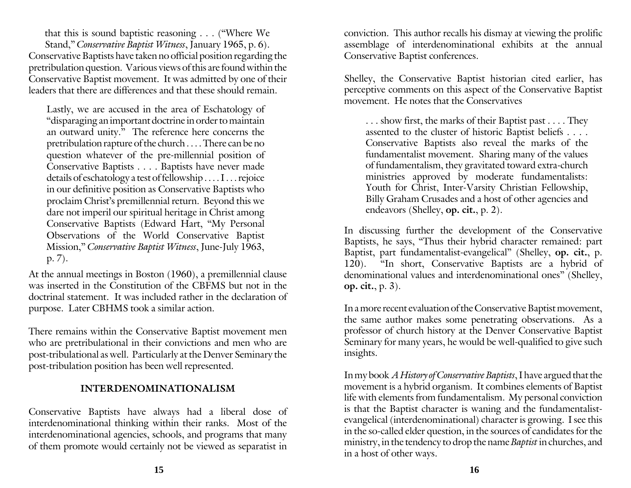Conservative Baptists have taken no official position regarding the pretribulation question. Various views of this are found within the Conservative Baptist movement. It was admitted by one of their leaders that there are differences and that these should remain. that this is sound baptistic reasoning . . . ("Where We Stand," *Conservative Baptist Witness*, January 1965, p. 6).

Lastly, we are accused in the area of Eschatology of "disparaging an important doctrine in order to maintain an outward unity." The reference here concerns the pretribulation rapture of the church . . . . There can be no question whatever of the pre-millennial position of Conservative Baptists . . . . Baptists have never made details of eschatology a test of fellowship . . . . I . . . rejoice in our definitive position as Conservative Baptists who proclaim Christ's premillennial return. Beyond this we dare not imperil our spiritual heritage in Christ among Conservative Baptists (Edward Hart, "My Personal Observations of the World Conservative Baptist Mission," *Conservative Baptist Witness*, June-July 1963, p. 7).

At the annual meetings in Boston (1960), a premillennial clause was inserted in the Constitution of the CBFMS but not in the doctrinal statement. It was included rather in the declaration of purpose. Later CBHMS took a similar action.

There remains within the Conservative Baptist movement men who are pretribulational in their convictions and men who are post-tribulational as well. Particularly at the Denver Seminary the post-tribulation position has been well represented.

## **INTERDENOMINATIONALISM**

Conservative Baptists have always had a liberal dose of interdenominational thinking within their ranks. Most of the interdenominational agencies, schools, and programs that many of them promote would certainly not be viewed as separatist in

conviction. This author recalls his dismay at viewing the prolific assemblage of interdenominational exhibits at the annual Conservative Baptist conferences.

Shelley, the Conservative Baptist historian cited earlier, has perceptive comments on this aspect of the Conservative Baptist movement. He notes that the Conservatives

. . . show first, the marks of their Baptist past . . . . They assented to the cluster of historic Baptist beliefs . . . . Conservative Baptists also reveal the marks of the fundamentalist movement. Sharing many of the values of fundamentalism, they gravitated toward extra-church ministries approved by moderate fundamentalists: Youth for Christ, Inter-Varsity Christian Fellowship, Billy Graham Crusades and a host of other agencies and endeavors (Shelley, **op. cit.**, p. 2).

In discussing further the development of the Conservative Baptists, he says, "Thus their hybrid character remained: part Baptist, part fundamentalist-evangelical" (Shelley, **op. cit.**, p. 120). "In short, Conservative Baptists are a hybrid of denominational values and interdenominational ones" (Shelley, **op. cit.**, p. 3).

In a more recent evaluation of the Conservative Baptist movement, the same author makes some penetrating observations. As a professor of church history at the Denver Conservative Baptist Seminary for many years, he would be well-qualified to give such insights.

In my book *A History of Conservative Baptists*, I have argued that the movement is a hybrid organism. It combines elements of Baptist life with elements from fundamentalism. My personal conviction is that the Baptist character is waning and the fundamentalistevangelical (interdenominational) character is growing. I see this in the so-called elder question, in the sources of candidates for the ministry, in the tendency to drop the name *Baptist* in churches, and in a host of other ways.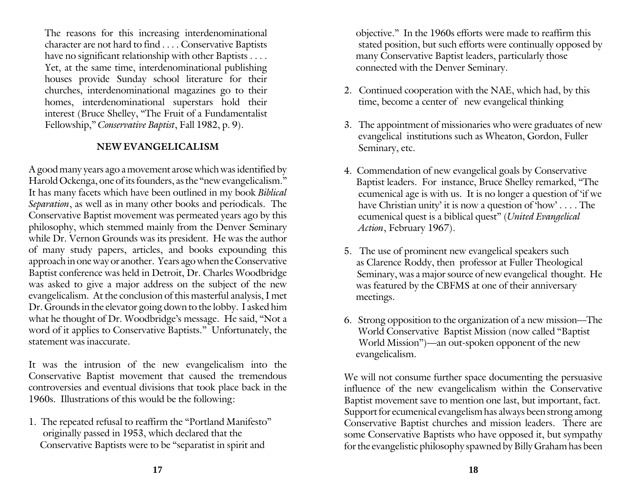The reasons for this increasing interdenominational character are not hard to find . . . . Conservative Baptists have no significant relationship with other Baptists . . . . Yet, at the same time, interdenominational publishing houses provide Sunday school literature for their churches, interdenominational magazines go to their homes, interdenominational superstars hold their interest (Bruce Shelley, "The Fruit of a Fundamentalist Fellowship," *Conservative Baptist*, Fall 1982, p. 9).

### **NEW EVANGELICALISM**

A good many years ago a movement arose which was identified by Harold Ockenga, one of its founders, as the "new evangelicalism." It has many facets which have been outlined in my book *Biblical Separation*, as well as in many other books and periodicals. The Conservative Baptist movement was permeated years ago by this philosophy, which stemmed mainly from the Denver Seminary while Dr. Vernon Grounds was its president. He was the author of many study papers, articles, and books expounding this approach in one way or another. Years ago when the Conservative Baptist conference was held in Detroit, Dr. Charles Woodbridge was asked to give a major address on the subject of the new evangelicalism. At the conclusion of this masterful analysis, I met Dr. Grounds in the elevator going down to the lobby. I asked him what he thought of Dr. Woodbridge's message. He said, "Not a word of it applies to Conservative Baptists." Unfortunately, the statement was inaccurate.

It was the intrusion of the new evangelicalism into the Conservative Baptist movement that caused the tremendous controversies and eventual divisions that took place back in the 1960s. Illustrations of this would be the following:

1. The repeated refusal to reaffirm the "Portland Manifesto" originally passed in 1953, which declared that the Conservative Baptists were to be "separatist in spirit and

 objective." In the 1960s efforts were made to reaffirm this stated position, but such efforts were continually opposed by many Conservative Baptist leaders, particularly those connected with the Denver Seminary.

- 2. Continued cooperation with the NAE, which had, by this time, become a center of new evangelical thinking
- 3. The appointment of missionaries who were graduates of new evangelical institutions such as Wheaton, Gordon, Fuller Seminary, etc.
- 4. Commendation of new evangelical goals by Conservative Baptist leaders. For instance, Bruce Shelley remarked, "The ecumenical age is with us. It is no longer a question of 'if we have Christian unity' it is now a question of 'how' . . . . The ecumenical quest is a biblical quest" (*United Evangelical Action*, February 1967).
- 5. The use of prominent new evangelical speakers such as Clarence Roddy, then professor at Fuller Theological Seminary, was a major source of new evangelical thought. He was featured by the CBFMS at one of their anniversary meetings.
- 6. Strong opposition to the organization of a new mission—The World Conservative Baptist Mission (now called "Baptist World Mission")—an out-spoken opponent of the new evangelicalism.

We will not consume further space documenting the persuasive influence of the new evangelicalism within the Conservative Baptist movement save to mention one last, but important, fact. Support for ecumenical evangelism has always been strong among Conservative Baptist churches and mission leaders. There are some Conservative Baptists who have opposed it, but sympathy for the evangelistic philosophy spawned by Billy Graham has been